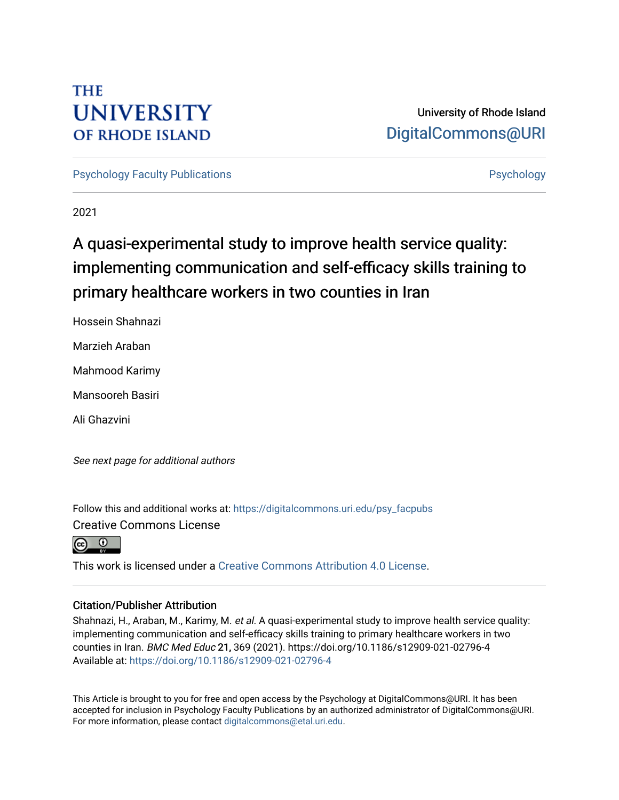# **THE UNIVERSITY OF RHODE ISLAND**

# University of Rhode Island [DigitalCommons@URI](https://digitalcommons.uri.edu/)

[Psychology Faculty Publications](https://digitalcommons.uri.edu/psy_facpubs) **Provides** [Psychology](https://digitalcommons.uri.edu/psy) **Psychology** 

2021

# A quasi-experimental study to improve health service quality: implementing communication and self-efficacy skills training to primary healthcare workers in two counties in Iran

Hossein Shahnazi

Marzieh Araban

Mahmood Karimy

Mansooreh Basiri

Ali Ghazvini

See next page for additional authors

Follow this and additional works at: [https://digitalcommons.uri.edu/psy\\_facpubs](https://digitalcommons.uri.edu/psy_facpubs?utm_source=digitalcommons.uri.edu%2Fpsy_facpubs%2F746&utm_medium=PDF&utm_campaign=PDFCoverPages)  Creative Commons License



This work is licensed under a [Creative Commons Attribution 4.0 License](https://creativecommons.org/licenses/by/4.0/).

### Citation/Publisher Attribution

Shahnazi, H., Araban, M., Karimy, M. et al. A quasi-experimental study to improve health service quality: implementing communication and self-efficacy skills training to primary healthcare workers in two counties in Iran. BMC Med Educ 21, 369 (2021). https://doi.org/10.1186/s12909-021-02796-4 Available at:<https://doi.org/10.1186/s12909-021-02796-4>

This Article is brought to you for free and open access by the Psychology at DigitalCommons@URI. It has been accepted for inclusion in Psychology Faculty Publications by an authorized administrator of DigitalCommons@URI. For more information, please contact [digitalcommons@etal.uri.edu](mailto:digitalcommons@etal.uri.edu).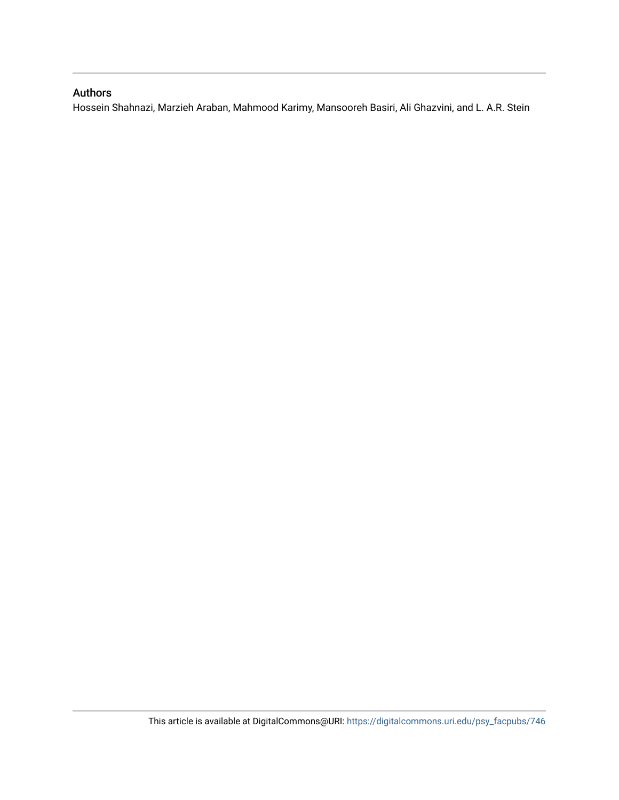### Authors

Hossein Shahnazi, Marzieh Araban, Mahmood Karimy, Mansooreh Basiri, Ali Ghazvini, and L. A.R. Stein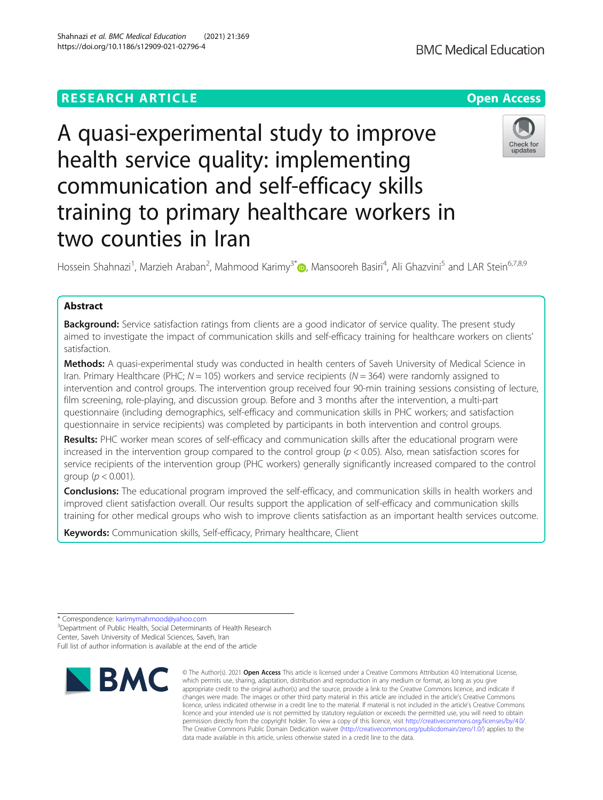## **RESEARCH ARTICLE Example 2014 12:30 The Contract of Contract ACCESS**

# A quasi-experimental study to improve health service quality: implementing communication and self-efficacy skills training to primary healthcare workers in two counties in Iran

Hossein Shahnazi<sup>1</sup>[,](http://orcid.org/0000-0002-8413-1942) Marzieh Araban<sup>2</sup>, Mahmood Karimy<sup>3\*</sup>@, Mansooreh Basiri<sup>4</sup>, Ali Ghazvini<sup>5</sup> and LAR Stein<sup>6,7,8,9</sup>

### Abstract

**Background:** Service satisfaction ratings from clients are a good indicator of service quality. The present study aimed to investigate the impact of communication skills and self-efficacy training for healthcare workers on clients' satisfaction.

Methods: A quasi-experimental study was conducted in health centers of Saveh University of Medical Science in Iran. Primary Healthcare (PHC;  $N = 105$ ) workers and service recipients ( $N = 364$ ) were randomly assigned to intervention and control groups. The intervention group received four 90-min training sessions consisting of lecture, film screening, role-playing, and discussion group. Before and 3 months after the intervention, a multi-part questionnaire (including demographics, self-efficacy and communication skills in PHC workers; and satisfaction questionnaire in service recipients) was completed by participants in both intervention and control groups.

Results: PHC worker mean scores of self-efficacy and communication skills after the educational program were increased in the intervention group compared to the control group ( $p < 0.05$ ). Also, mean satisfaction scores for service recipients of the intervention group (PHC workers) generally significantly increased compared to the control group ( $p < 0.001$ ).

Conclusions: The educational program improved the self-efficacy, and communication skills in health workers and improved client satisfaction overall. Our results support the application of self-efficacy and communication skills training for other medical groups who wish to improve clients satisfaction as an important health services outcome.

Keywords: Communication skills, Self-efficacy, Primary healthcare, Client

Full list of author information is available at the end of the article

data made available in this article, unless otherwise stated in a credit line to the data.

© The Author(s), 2021 **Open Access** This article is licensed under a Creative Commons Attribution 4.0 International License, which permits use, sharing, adaptation, distribution and reproduction in any medium or format, as long as you give



undates



<sup>\*</sup> Correspondence: [karimymahmood@yahoo.com](mailto:karimymahmood@yahoo.com) <sup>3</sup>

<sup>&</sup>lt;sup>3</sup>Department of Public Health, Social Determinants of Health Research Center, Saveh University of Medical Sciences, Saveh, Iran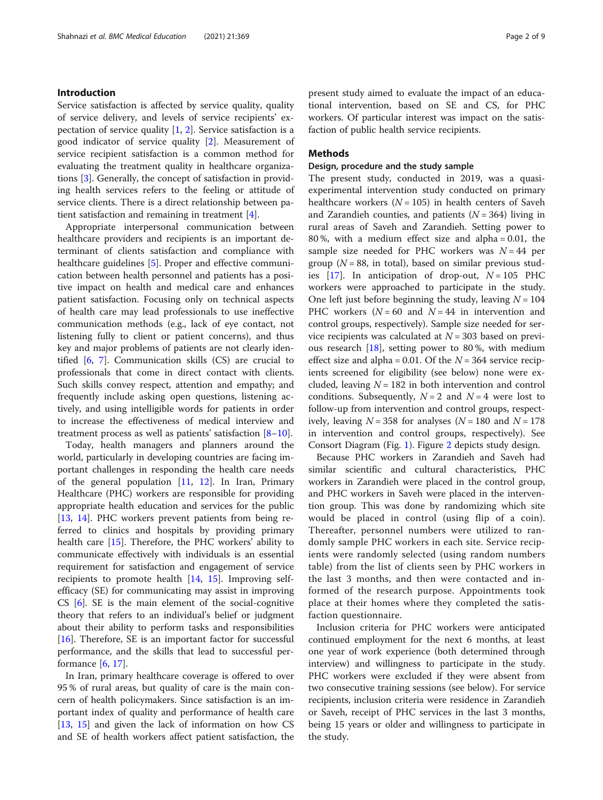#### Introduction

Service satisfaction is affected by service quality, quality of service delivery, and levels of service recipients' expectation of service quality  $[1, 2]$  $[1, 2]$  $[1, 2]$  $[1, 2]$ . Service satisfaction is a good indicator of service quality [[2\]](#page-10-0). Measurement of service recipient satisfaction is a common method for evaluating the treatment quality in healthcare organizations [[3\]](#page-10-0). Generally, the concept of satisfaction in providing health services refers to the feeling or attitude of service clients. There is a direct relationship between patient satisfaction and remaining in treatment [\[4](#page-10-0)].

Appropriate interpersonal communication between healthcare providers and recipients is an important determinant of clients satisfaction and compliance with healthcare guidelines [[5\]](#page-10-0). Proper and effective communication between health personnel and patients has a positive impact on health and medical care and enhances patient satisfaction. Focusing only on technical aspects of health care may lead professionals to use ineffective communication methods (e.g., lack of eye contact, not listening fully to client or patient concerns), and thus key and major problems of patients are not clearly identified [[6,](#page-10-0) [7\]](#page-10-0). Communication skills (CS) are crucial to professionals that come in direct contact with clients. Such skills convey respect, attention and empathy; and frequently include asking open questions, listening actively, and using intelligible words for patients in order to increase the effectiveness of medical interview and treatment process as well as patients' satisfaction  $[8-10]$  $[8-10]$  $[8-10]$ .

Today, health managers and planners around the world, particularly in developing countries are facing important challenges in responding the health care needs of the general population [[11,](#page-10-0) [12\]](#page-10-0). In Iran, Primary Healthcare (PHC) workers are responsible for providing appropriate health education and services for the public [[13,](#page-10-0) [14](#page-10-0)]. PHC workers prevent patients from being referred to clinics and hospitals by providing primary health care [[15](#page-10-0)]. Therefore, the PHC workers' ability to communicate effectively with individuals is an essential requirement for satisfaction and engagement of service recipients to promote health [\[14](#page-10-0), [15](#page-10-0)]. Improving selfefficacy (SE) for communicating may assist in improving CS [\[6](#page-10-0)]. SE is the main element of the social-cognitive theory that refers to an individual's belief or judgment about their ability to perform tasks and responsibilities [[16\]](#page-10-0). Therefore, SE is an important factor for successful performance, and the skills that lead to successful performance  $[6, 17]$  $[6, 17]$  $[6, 17]$  $[6, 17]$ .

In Iran, primary healthcare coverage is offered to over 95 % of rural areas, but quality of care is the main concern of health policymakers. Since satisfaction is an important index of quality and performance of health care [[13,](#page-10-0) [15](#page-10-0)] and given the lack of information on how CS and SE of health workers affect patient satisfaction, the present study aimed to evaluate the impact of an educational intervention, based on SE and CS, for PHC workers. Of particular interest was impact on the satisfaction of public health service recipients.

#### Methods

#### Design, procedure and the study sample

The present study, conducted in 2019, was a quasiexperimental intervention study conducted on primary healthcare workers ( $N = 105$ ) in health centers of Saveh and Zarandieh counties, and patients  $(N = 364)$  living in rural areas of Saveh and Zarandieh. Setting power to 80 %, with a medium effect size and alpha = 0.01, the sample size needed for PHC workers was  $N = 44$  per group ( $N = 88$ , in total), based on similar previous studies  $[17]$  $[17]$ . In anticipation of drop-out,  $N = 105$  PHC workers were approached to participate in the study. One left just before beginning the study, leaving  $N = 104$ PHC workers ( $N = 60$  and  $N = 44$  in intervention and control groups, respectively). Sample size needed for service recipients was calculated at  $N = 303$  based on previous research [[18](#page-10-0)], setting power to 80 %, with medium effect size and alpha = 0.01. Of the  $N = 364$  service recipients screened for eligibility (see below) none were excluded, leaving  $N = 182$  in both intervention and control conditions. Subsequently,  $N = 2$  and  $N = 4$  were lost to follow-up from intervention and control groups, respectively, leaving  $N = 358$  for analyses  $(N = 180$  and  $N = 178$ in intervention and control groups, respectively). See Consort Diagram (Fig. [1](#page-4-0)). Figure [2](#page-5-0) depicts study design.

Because PHC workers in Zarandieh and Saveh had similar scientific and cultural characteristics, PHC workers in Zarandieh were placed in the control group, and PHC workers in Saveh were placed in the intervention group. This was done by randomizing which site would be placed in control (using flip of a coin). Thereafter, personnel numbers were utilized to randomly sample PHC workers in each site. Service recipients were randomly selected (using random numbers table) from the list of clients seen by PHC workers in the last 3 months, and then were contacted and informed of the research purpose. Appointments took place at their homes where they completed the satisfaction questionnaire.

Inclusion criteria for PHC workers were anticipated continued employment for the next 6 months, at least one year of work experience (both determined through interview) and willingness to participate in the study. PHC workers were excluded if they were absent from two consecutive training sessions (see below). For service recipients, inclusion criteria were residence in Zarandieh or Saveh, receipt of PHC services in the last 3 months, being 15 years or older and willingness to participate in the study.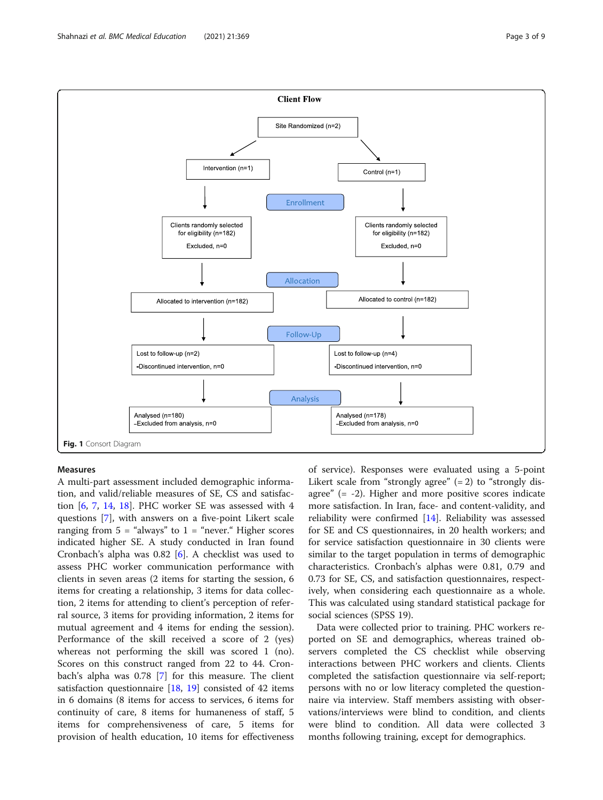Measures A multi-part assessment included demographic information, and valid/reliable measures of SE, CS and satisfaction  $[6, 7, 14, 18]$  $[6, 7, 14, 18]$  $[6, 7, 14, 18]$  $[6, 7, 14, 18]$  $[6, 7, 14, 18]$  $[6, 7, 14, 18]$  $[6, 7, 14, 18]$ . PHC worker SE was assessed with 4 questions [[7\]](#page-10-0), with answers on a five-point Likert scale ranging from  $5 =$  "always" to  $1 =$  "never." Higher scores indicated higher SE. A study conducted in Iran found Cronbach's alpha was 0.82 [[6\]](#page-10-0). A checklist was used to assess PHC worker communication performance with clients in seven areas (2 items for starting the session, 6 items for creating a relationship, 3 items for data collection, 2 items for attending to client's perception of referral source, 3 items for providing information, 2 items for mutual agreement and 4 items for ending the session). Performance of the skill received a score of 2 (yes) whereas not performing the skill was scored 1 (no). Scores on this construct ranged from 22 to 44. Cronbach's alpha was 0.78 [\[7](#page-10-0)] for this measure. The client satisfaction questionnaire [[18](#page-10-0), [19](#page-10-0)] consisted of 42 items in 6 domains (8 items for access to services, 6 items for continuity of care, 8 items for humaneness of staff, 5

items for comprehensiveness of care, 5 items for provision of health education, 10 items for effectiveness

of service). Responses were evaluated using a 5-point Likert scale from "strongly agree"  $(= 2)$  to "strongly disagree" (= -2). Higher and more positive scores indicate more satisfaction. In Iran, face- and content-validity, and reliability were confirmed [[14\]](#page-10-0). Reliability was assessed for SE and CS questionnaires, in 20 health workers; and for service satisfaction questionnaire in 30 clients were similar to the target population in terms of demographic characteristics. Cronbach's alphas were 0.81, 0.79 and 0.73 for SE, CS, and satisfaction questionnaires, respectively, when considering each questionnaire as a whole. This was calculated using standard statistical package for social sciences (SPSS 19).

Data were collected prior to training. PHC workers reported on SE and demographics, whereas trained observers completed the CS checklist while observing interactions between PHC workers and clients. Clients completed the satisfaction questionnaire via self-report; persons with no or low literacy completed the questionnaire via interview. Staff members assisting with observations/interviews were blind to condition, and clients were blind to condition. All data were collected 3 months following training, except for demographics.

<span id="page-4-0"></span>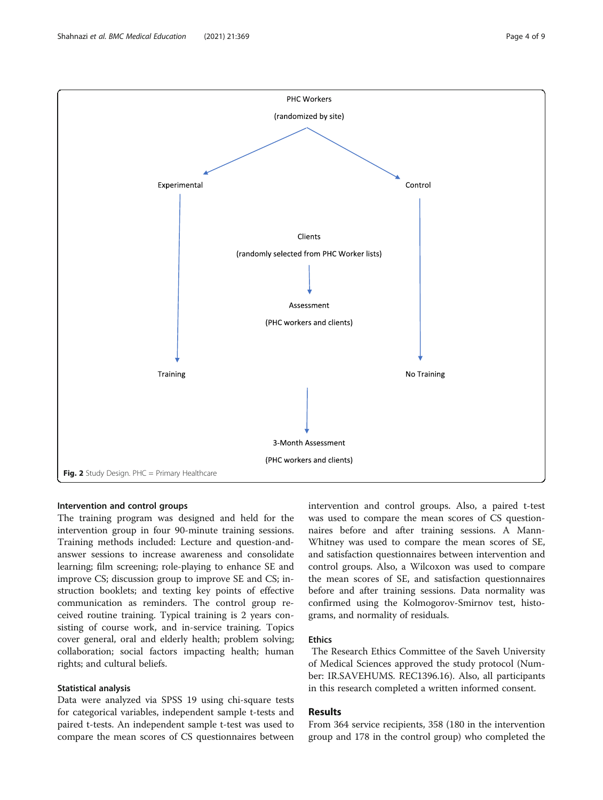<span id="page-5-0"></span>

#### Intervention and control groups

The training program was designed and held for the intervention group in four 90-minute training sessions. Training methods included: Lecture and question-andanswer sessions to increase awareness and consolidate learning; film screening; role-playing to enhance SE and improve CS; discussion group to improve SE and CS; instruction booklets; and texting key points of effective communication as reminders. The control group received routine training. Typical training is 2 years consisting of course work, and in-service training. Topics cover general, oral and elderly health; problem solving; collaboration; social factors impacting health; human rights; and cultural beliefs.

#### Statistical analysis

Data were analyzed via SPSS 19 using chi-square tests for categorical variables, independent sample t-tests and paired t-tests. An independent sample t-test was used to compare the mean scores of CS questionnaires between intervention and control groups. Also, a paired t-test was used to compare the mean scores of CS questionnaires before and after training sessions. A Mann-Whitney was used to compare the mean scores of SE, and satisfaction questionnaires between intervention and control groups. Also, a Wilcoxon was used to compare the mean scores of SE, and satisfaction questionnaires before and after training sessions. Data normality was confirmed using the Kolmogorov-Smirnov test, histograms, and normality of residuals.

#### Ethics

The Research Ethics Committee of the Saveh University of Medical Sciences approved the study protocol (Number: IR.SAVEHUMS. REC1396.16). Also, all participants in this research completed a written informed consent.

#### Results

From 364 service recipients, 358 (180 in the intervention group and 178 in the control group) who completed the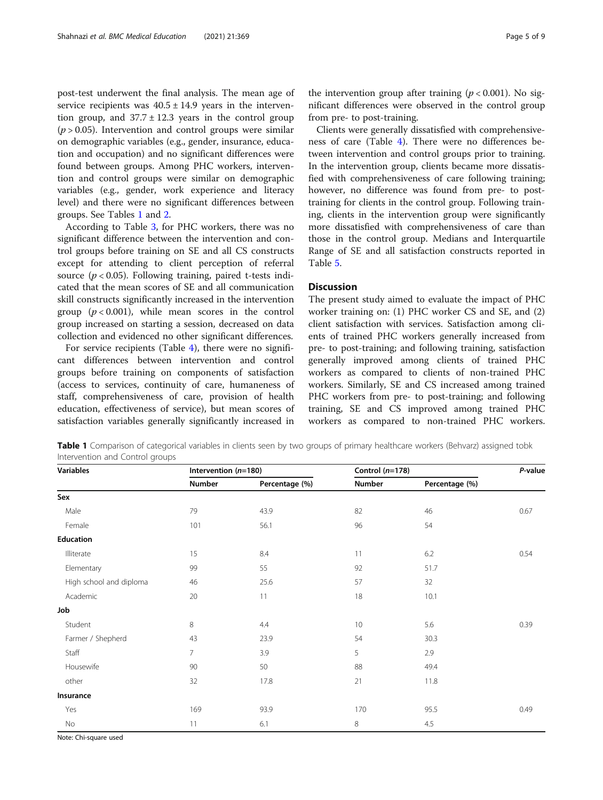post-test underwent the final analysis. The mean age of service recipients was  $40.5 \pm 14.9$  years in the intervention group, and  $37.7 \pm 12.3$  years in the control group  $(p > 0.05)$ . Intervention and control groups were similar on demographic variables (e.g., gender, insurance, education and occupation) and no significant differences were found between groups. Among PHC workers, intervention and control groups were similar on demographic variables (e.g., gender, work experience and literacy level) and there were no significant differences between groups. See Tables 1 and [2.](#page-7-0)

According to Table [3](#page-7-0), for PHC workers, there was no significant difference between the intervention and control groups before training on SE and all CS constructs except for attending to client perception of referral source ( $p < 0.05$ ). Following training, paired t-tests indicated that the mean scores of SE and all communication skill constructs significantly increased in the intervention group  $(p < 0.001)$ , while mean scores in the control group increased on starting a session, decreased on data collection and evidenced no other significant differences.

For service recipients (Table [4\)](#page-8-0), there were no significant differences between intervention and control groups before training on components of satisfaction (access to services, continuity of care, humaneness of staff, comprehensiveness of care, provision of health education, effectiveness of service), but mean scores of satisfaction variables generally significantly increased in

Clients were generally dissatisfied with comprehensiveness of care (Table [4\)](#page-8-0). There were no differences between intervention and control groups prior to training. In the intervention group, clients became more dissatisfied with comprehensiveness of care following training; however, no difference was found from pre- to posttraining for clients in the control group. Following training, clients in the intervention group were significantly more dissatisfied with comprehensiveness of care than those in the control group. Medians and Interquartile Range of SE and all satisfaction constructs reported in Table [5.](#page-8-0)

#### **Discussion**

The present study aimed to evaluate the impact of PHC worker training on: (1) PHC worker CS and SE, and (2) client satisfaction with services. Satisfaction among clients of trained PHC workers generally increased from pre- to post-training; and following training, satisfaction generally improved among clients of trained PHC workers as compared to clients of non-trained PHC workers. Similarly, SE and CS increased among trained PHC workers from pre- to post-training; and following training, SE and CS improved among trained PHC workers as compared to non-trained PHC workers.

Table 1 Comparison of categorical variables in clients seen by two groups of primary healthcare workers (Behvarz) assigned tobk Intervention and Control groups

| <b>Variables</b>        | Intervention (n=180) |                | Control $(n=178)$ |                | P-value |
|-------------------------|----------------------|----------------|-------------------|----------------|---------|
|                         | Number               | Percentage (%) | Number            | Percentage (%) |         |
| Sex                     |                      |                |                   |                |         |
| Male                    | 79                   | 43.9           | 82                | 46             | 0.67    |
| Female                  | 101                  | 56.1           | 96                | 54             |         |
| <b>Education</b>        |                      |                |                   |                |         |
| Illiterate              | 15                   | 8.4            | 11                | 6.2            | 0.54    |
| Elementary              | 99                   | 55             | 92                | 51.7           |         |
| High school and diploma | 46                   | 25.6           | 57                | 32             |         |
| Academic                | 20                   | 11             | 18                | 10.1           |         |
| Job                     |                      |                |                   |                |         |
| Student                 | 8                    | 4.4            | 10                | 5.6            | 0.39    |
| Farmer / Shepherd       | 43                   | 23.9           | 54                | 30.3           |         |
| Staff                   | $\overline{7}$       | 3.9            | 5                 | 2.9            |         |
| Housewife               | 90                   | 50             | 88                | 49.4           |         |
| other                   | 32                   | 17.8           | 21                | 11.8           |         |
| Insurance               |                      |                |                   |                |         |
| Yes                     | 169                  | 93.9           | 170               | 95.5           | 0.49    |
| No                      | 11                   | 6.1            | 8                 | 4.5            |         |

Note: Chi-square used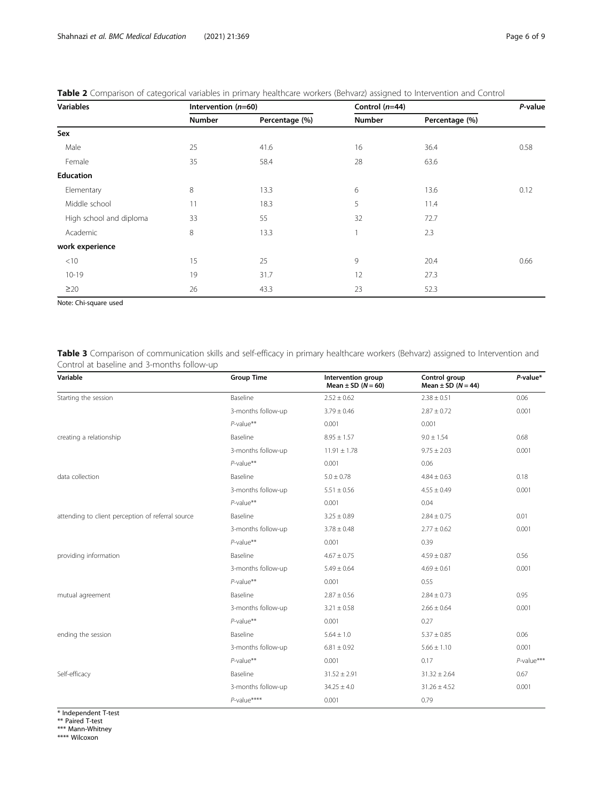| <b>Variables</b>        | Intervention $(n=60)$ |                | Control $(n=44)$ |                | P-value |
|-------------------------|-----------------------|----------------|------------------|----------------|---------|
|                         | <b>Number</b>         | Percentage (%) | <b>Number</b>    | Percentage (%) |         |
| Sex                     |                       |                |                  |                |         |
| Male                    | 25                    | 41.6           | 16               | 36.4           | 0.58    |
| Female                  | 35                    | 58.4           | 28               | 63.6           |         |
| Education               |                       |                |                  |                |         |
| Elementary              | 8                     | 13.3           | 6                | 13.6           | 0.12    |
| Middle school           | 11                    | 18.3           | 5                | 11.4           |         |
| High school and diploma | 33                    | 55             | 32               | 72.7           |         |
| Academic                | $\,8\,$               | 13.3           |                  | 2.3            |         |
| work experience         |                       |                |                  |                |         |
| $<$ 10                  | 15                    | 25             | 9                | 20.4           | 0.66    |
| $10 - 19$               | 19                    | 31.7           | 12               | 27.3           |         |
| $\geq$ 20               | 26                    | 43.3           | 23               | 52.3           |         |

<span id="page-7-0"></span>

| Table 2 Comparison of categorical variables in primary healthcare workers (Behvarz) assigned to Intervention and Control |  |  |
|--------------------------------------------------------------------------------------------------------------------------|--|--|
|--------------------------------------------------------------------------------------------------------------------------|--|--|

Note: Chi-square used

Table 3 Comparison of communication skills and self-efficacy in primary healthcare workers (Behvarz) assigned to Intervention and Control at baseline and 3-months follow-up

| Variable                                          | <b>Group Time</b>          | Intervention group<br>Mean $\pm$ SD ( $N = 60$ ) | Control group<br>Mean $\pm$ SD ( $N = 44$ ) | P-value*      |
|---------------------------------------------------|----------------------------|--------------------------------------------------|---------------------------------------------|---------------|
| Starting the session                              | Baseline                   | $2.52 \pm 0.62$                                  | $2.38 \pm 0.51$                             | 0.06          |
|                                                   | 3-months follow-up         | $3.79 \pm 0.46$                                  | $2.87 \pm 0.72$                             | 0.001         |
|                                                   | $P$ -value**               | 0.001                                            | 0.001                                       |               |
| creating a relationship                           | Baseline                   | $8.95 \pm 1.57$                                  | $9.0 \pm 1.54$                              | 0.68          |
|                                                   | 3-months follow-up         | $11.91 \pm 1.78$                                 | $9.75 \pm 2.03$                             | 0.001         |
|                                                   | $P$ -value <sup>**</sup>   | 0.001                                            | 0.06                                        |               |
| data collection                                   | Baseline                   | $5.0 \pm 0.78$                                   | $4.84 \pm 0.63$                             | 0.18          |
|                                                   | 3-months follow-up         | $5.51 \pm 0.56$                                  | $4.55 \pm 0.49$                             | 0.001         |
|                                                   | $P$ -value**               | 0.001                                            | 0.04                                        |               |
| attending to client perception of referral source | Baseline                   | $3.25 \pm 0.89$                                  | $2.84 \pm 0.75$                             | 0.01          |
|                                                   | 3-months follow-up         | $3.78 \pm 0.48$                                  | $2.77 \pm 0.62$                             | 0.001         |
|                                                   | $P$ -value**               | 0.001                                            | 0.39                                        |               |
| providing information                             | Baseline                   | $4.67 \pm 0.75$                                  | $4.59 \pm 0.87$                             | 0.56          |
|                                                   | 3-months follow-up         | $5.49 \pm 0.64$                                  | $4.69 \pm 0.61$                             | 0.001         |
|                                                   | $P$ -value**               | 0.001                                            | 0.55                                        |               |
| mutual agreement                                  | Baseline                   | $2.87 \pm 0.56$                                  | $2.84 \pm 0.73$                             | 0.95          |
|                                                   | 3-months follow-up         | $3.21 \pm 0.58$                                  | $2.66 \pm 0.64$                             | 0.001         |
|                                                   | $P$ -value**               | 0.001                                            | 0.27                                        |               |
| ending the session                                | Baseline                   | $5.64 \pm 1.0$                                   | $5.37 \pm 0.85$                             | 0.06          |
|                                                   | 3-months follow-up         | $6.81 \pm 0.92$                                  | $5.66 \pm 1.10$                             | 0.001         |
|                                                   | $P$ -value**               | 0.001                                            | 0.17                                        | $P$ -value*** |
| Self-efficacy                                     | Baseline                   | $31.52 \pm 2.91$                                 | $31.32 \pm 2.64$                            | 0.67          |
|                                                   | 3-months follow-up         | $34.25 \pm 4.0$                                  | $31.26 \pm 4.52$                            | 0.001         |
|                                                   | $P$ -value <sup>****</sup> | 0.001                                            | 0.79                                        |               |

\* Independent T-test \*\* Paired T-test \*\*\* Mann-Whitney \*\*\*\* Wilcoxon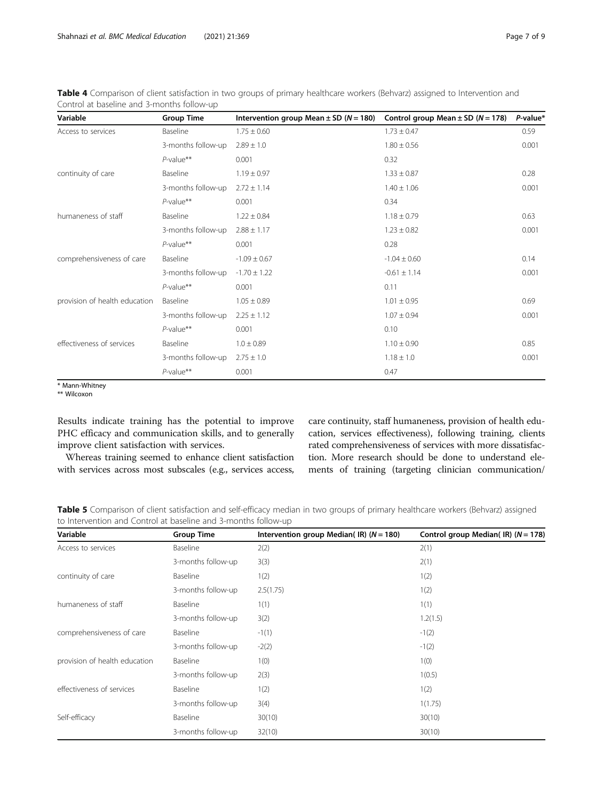| Variable                      | <b>Group Time</b>        | Intervention group Mean $\pm$ SD (N = 180) | Control group Mean $\pm$ SD (N = 178) | P-value* |
|-------------------------------|--------------------------|--------------------------------------------|---------------------------------------|----------|
| Access to services            | Baseline                 | $1.75 \pm 0.60$                            | $1.73 \pm 0.47$                       | 0.59     |
|                               | 3-months follow-up       | $2.89 \pm 1.0$                             | $1.80 \pm 0.56$                       | 0.001    |
|                               | $P$ -value**             | 0.001                                      | 0.32                                  |          |
| continuity of care            | Baseline                 | $1.19 \pm 0.97$                            | $1.33 \pm 0.87$                       | 0.28     |
|                               | 3-months follow-up       | $2.72 \pm 1.14$                            | $1.40 \pm 1.06$                       | 0.001    |
|                               | $P$ -value**             | 0.001                                      | 0.34                                  |          |
| humaneness of staff           | Baseline                 | $1.22 \pm 0.84$                            | $1.18 \pm 0.79$                       | 0.63     |
|                               | 3-months follow-up       | $2.88 \pm 1.17$                            | $1.23 \pm 0.82$                       | 0.001    |
|                               | $P$ -value <sup>**</sup> | 0.001                                      | 0.28                                  |          |
| comprehensiveness of care     | Baseline                 | $-1.09 \pm 0.67$                           | $-1.04 \pm 0.60$                      | 0.14     |
|                               | 3-months follow-up       | $-1.70 \pm 1.22$                           | $-0.61 \pm 1.14$                      | 0.001    |
|                               | $P$ -value**             | 0.001                                      | 0.11                                  |          |
| provision of health education | Baseline                 | $1.05 \pm 0.89$                            | $1.01 \pm 0.95$                       | 0.69     |
|                               | 3-months follow-up       | $2.25 \pm 1.12$                            | $1.07 \pm 0.94$                       | 0.001    |
|                               | $P$ -value**             | 0.001                                      | 0.10                                  |          |
| effectiveness of services     | Baseline                 | $1.0 \pm 0.89$                             | $1.10 \pm 0.90$                       | 0.85     |
|                               | 3-months follow-up       | $2.75 \pm 1.0$                             | $1.18 \pm 1.0$                        | 0.001    |
|                               | $P$ -value**             | 0.001                                      | 0.47                                  |          |

<span id="page-8-0"></span>Table 4 Comparison of client satisfaction in two groups of primary healthcare workers (Behvarz) assigned to Intervention and Control at baseline and 3-months follow-up

\* Mann-Whitney

\*\* Wilcoxon

Results indicate training has the potential to improve PHC efficacy and communication skills, and to generally improve client satisfaction with services.

Whereas training seemed to enhance client satisfaction with services across most subscales (e.g., services access,

care continuity, staff humaneness, provision of health education, services effectiveness), following training, clients rated comprehensiveness of services with more dissatisfaction. More research should be done to understand elements of training (targeting clinician communication/

Table 5 Comparison of client satisfaction and self-efficacy median in two groups of primary healthcare workers (Behvarz) assigned to Intervention and Control at baseline and 3-months follow-up

| Variable                      | <b>Group Time</b>  | Intervention group Median(IR) ( $N = 180$ ) | Control group Median(IR) $(N = 178)$ |
|-------------------------------|--------------------|---------------------------------------------|--------------------------------------|
| Access to services            | Baseline           | 2(2)                                        | 2(1)                                 |
|                               | 3-months follow-up | 3(3)                                        | 2(1)                                 |
| continuity of care            | Baseline           | 1(2)                                        | 1(2)                                 |
|                               | 3-months follow-up | 2.5(1.75)                                   | 1(2)                                 |
| humaneness of staff           | Baseline           | 1(1)                                        | 1(1)                                 |
|                               | 3-months follow-up | 3(2)                                        | 1.2(1.5)                             |
| comprehensiveness of care     | Baseline           | $-1(1)$                                     | $-1(2)$                              |
|                               | 3-months follow-up | $-2(2)$                                     | $-1(2)$                              |
| provision of health education | Baseline           | 1(0)                                        | 1(0)                                 |
|                               | 3-months follow-up | 2(3)                                        | 1(0.5)                               |
| effectiveness of services     | Baseline           | 1(2)                                        | 1(2)                                 |
|                               | 3-months follow-up | 3(4)                                        | 1(1.75)                              |
| Self-efficacy                 | Baseline           | 30(10)                                      | 30(10)                               |
|                               | 3-months follow-up | 32(10)                                      | 30(10)                               |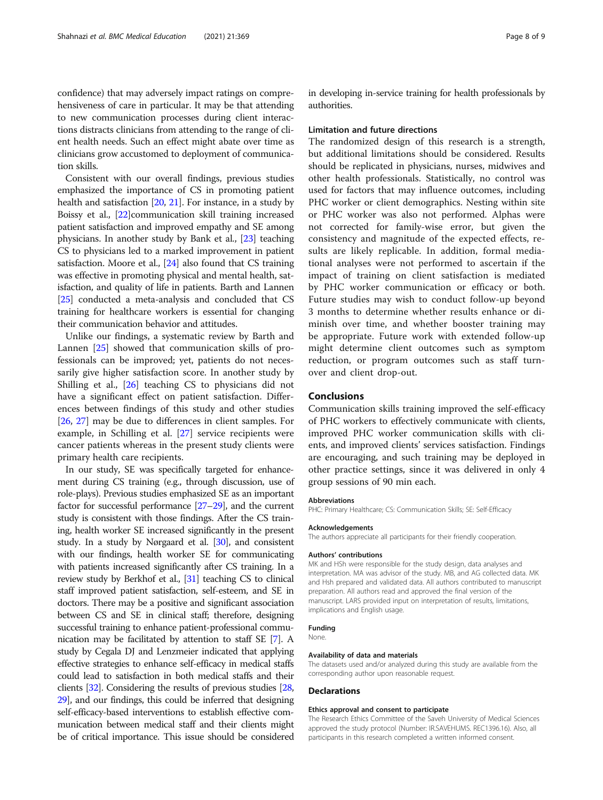confidence) that may adversely impact ratings on comprehensiveness of care in particular. It may be that attending to new communication processes during client interactions distracts clinicians from attending to the range of client health needs. Such an effect might abate over time as clinicians grow accustomed to deployment of communication skills.

Consistent with our overall findings, previous studies emphasized the importance of CS in promoting patient health and satisfaction [\[20,](#page-10-0) [21\]](#page-10-0). For instance, in a study by Boissy et al., [[22](#page-10-0)] communication skill training increased patient satisfaction and improved empathy and SE among physicians. In another study by Bank et al., [\[23](#page-10-0)] teaching CS to physicians led to a marked improvement in patient satisfaction. Moore et al., [\[24](#page-10-0)] also found that CS training was effective in promoting physical and mental health, satisfaction, and quality of life in patients. Barth and Lannen [[25](#page-10-0)] conducted a meta-analysis and concluded that CS training for healthcare workers is essential for changing their communication behavior and attitudes.

Unlike our findings, a systematic review by Barth and Lannen [[25\]](#page-10-0) showed that communication skills of professionals can be improved; yet, patients do not necessarily give higher satisfaction score. In another study by Shilling et al., [\[26](#page-10-0)] teaching CS to physicians did not have a significant effect on patient satisfaction. Differences between findings of this study and other studies [[26,](#page-10-0) [27\]](#page-10-0) may be due to differences in client samples. For example, in Schilling et al. [[27\]](#page-10-0) service recipients were cancer patients whereas in the present study clients were primary health care recipients.

In our study, SE was specifically targeted for enhancement during CS training (e.g., through discussion, use of role-plays). Previous studies emphasized SE as an important factor for successful performance [\[27](#page-10-0)–[29\]](#page-10-0), and the current study is consistent with those findings. After the CS training, health worker SE increased significantly in the present study. In a study by Nørgaard et al. [\[30\]](#page-10-0), and consistent with our findings, health worker SE for communicating with patients increased significantly after CS training. In a review study by Berkhof et al., [[31\]](#page-10-0) teaching CS to clinical staff improved patient satisfaction, self-esteem, and SE in doctors. There may be a positive and significant association between CS and SE in clinical staff; therefore, designing successful training to enhance patient-professional communication may be facilitated by attention to staff SE [[7\]](#page-10-0). A study by Cegala DJ and Lenzmeier indicated that applying effective strategies to enhance self-efficacy in medical staffs could lead to satisfaction in both medical staffs and their clients [[32](#page-10-0)]. Considering the results of previous studies [\[28](#page-10-0), [29](#page-10-0)], and our findings, this could be inferred that designing self-efficacy-based interventions to establish effective communication between medical staff and their clients might be of critical importance. This issue should be considered

in developing in-service training for health professionals by authorities.

#### Limitation and future directions

The randomized design of this research is a strength, but additional limitations should be considered. Results should be replicated in physicians, nurses, midwives and other health professionals. Statistically, no control was used for factors that may influence outcomes, including PHC worker or client demographics. Nesting within site or PHC worker was also not performed. Alphas were not corrected for family-wise error, but given the consistency and magnitude of the expected effects, results are likely replicable. In addition, formal mediational analyses were not performed to ascertain if the impact of training on client satisfaction is mediated by PHC worker communication or efficacy or both. Future studies may wish to conduct follow-up beyond 3 months to determine whether results enhance or diminish over time, and whether booster training may be appropriate. Future work with extended follow-up might determine client outcomes such as symptom reduction, or program outcomes such as staff turnover and client drop-out.

#### Conclusions

Communication skills training improved the self-efficacy of PHC workers to effectively communicate with clients, improved PHC worker communication skills with clients, and improved clients' services satisfaction. Findings are encouraging, and such training may be deployed in other practice settings, since it was delivered in only 4 group sessions of 90 min each.

#### Abbreviations

PHC: Primary Healthcare; CS: Communication Skills; SE: Self-Efficacy

#### Acknowledgements

The authors appreciate all participants for their friendly cooperation.

#### Authors' contributions

MK and HSh were responsible for the study design, data analyses and interpretation. MA was advisor of the study. MB, and AG collected data. MK and Hsh prepared and validated data. All authors contributed to manuscript preparation. All authors read and approved the final version of the manuscript. LARS provided input on interpretation of results, limitations, implications and English usage.

#### Funding

None.

#### Availability of data and materials

The datasets used and/or analyzed during this study are available from the corresponding author upon reasonable request.

#### Declarations

#### Ethics approval and consent to participate

The Research Ethics Committee of the Saveh University of Medical Sciences approved the study protocol (Number: IR.SAVEHUMS. REC1396.16). Also, all participants in this research completed a written informed consent.